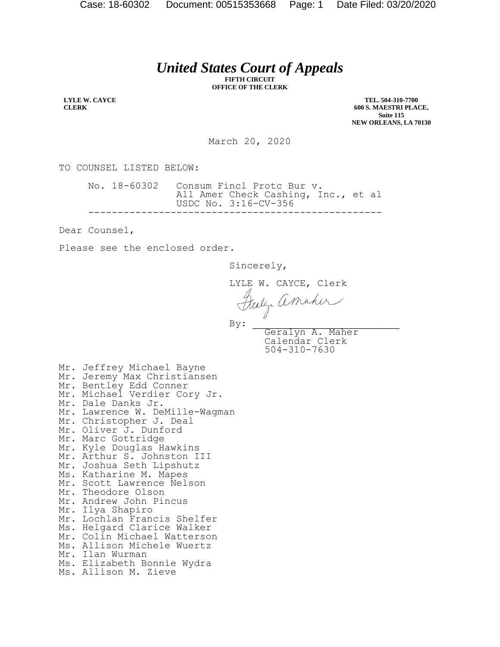## *United States Court of Appeals*

**FIFTH CIRCUIT OFFICE OF THE CLERK**

**LYLE W. CAYCE CLERK**

**TEL. 504-310-7700 600 S. MAESTRI PLACE, Suite 115 NEW ORLEANS, LA 70130**

March 20, 2020

TO COUNSEL LISTED BELOW:

No. 18-60302 Consum Fincl Protc Bur v. All Amer Check Cashing, Inc., et al USDC No. 3:16-CV-356 --------------------------------------------------

Dear Counsel,

Please see the enclosed order.

Sincerely,

LYLE W. CAYCE, Clerk<br>Fleely amaher  $\mathbf{By:}$ 

Geralyn A. Maher Calendar Clerk 504-310-7630

Mr. Jeffrey Michael Bayne Mr. Jeremy Max Christiansen Mr. Bentley Edd Conner Mr. Michael Verdier Cory Jr. Mr. Dale Danks Jr. Mr. Lawrence W. DeMille-Wagman Mr. Christopher J. Deal Mr. Oliver J. Dunford Mr. Marc Gottridge Mr. Kyle Douglas Hawkins Mr. Arthur S. Johnston III Mr. Joshua Seth Lipshutz Ms. Katharine M. Mapes Mr. Scott Lawrence Nelson Mr. Theodore Olson Mr. Andrew John Pincus Mr. Ilya Shapiro Mr. Lochlan Francis Shelfer Ms. Helgard Clarice Walker Mr. Colin Michael Watterson Ms. Allison Michele Wuertz Mr. Ilan Wurman Ms. Elizabeth Bonnie Wydra Ms. Allison M. Zieve